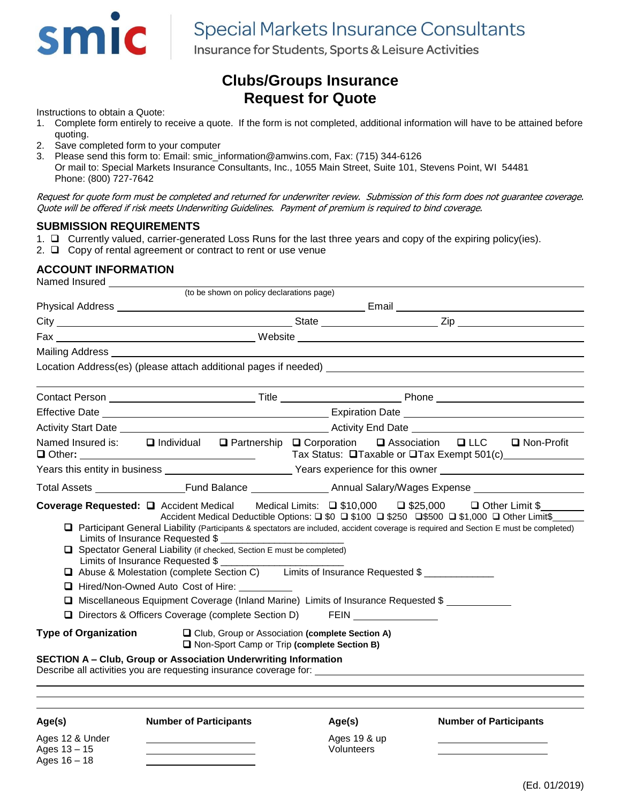

# **Special Markets Insurance Consultants**

Insurance for Students, Sports & Leisure Activities

## **Clubs/Groups Insurance Request for Quote**

Instructions to obtain a Quote:

- 1. Complete form entirely to receive a quote. If the form is not completed, additional information will have to be attained before quoting.
- 2. Save completed form to your computer
- 3. Please send this form to: Email: smic\_information@amwins.com, Fax: (715) 344-6126

Or mail to: Special Markets Insurance Consultants, Inc., 1055 Main Street, Suite 101, Stevens Point, WI 54481 Phone: (800) 727-7642

Request for quote form must be completed and returned for underwriter review. Submission of this form does not guarantee coverage. Quote will be offered if risk meets Underwriting Guidelines. Payment of premium is required to bind coverage.

#### **SUBMISSION REQUIREMENTS**

- 1.  $\Box$  Currently valued, carrier-generated Loss Runs for the last three years and copy of the expiring policy(ies).
- 2.  $\Box$  Copy of rental agreement or contract to rent or use venue

## **ACCOUNT INFORMATION**

| Named Insured ______________                                  |                                                                                                                                                                                                                                                                                                                                                                                                                                                                                                                                                                                       |                                                                                                                |                                                                                                                                                                                                                                                                                                                                                                        |  |
|---------------------------------------------------------------|---------------------------------------------------------------------------------------------------------------------------------------------------------------------------------------------------------------------------------------------------------------------------------------------------------------------------------------------------------------------------------------------------------------------------------------------------------------------------------------------------------------------------------------------------------------------------------------|----------------------------------------------------------------------------------------------------------------|------------------------------------------------------------------------------------------------------------------------------------------------------------------------------------------------------------------------------------------------------------------------------------------------------------------------------------------------------------------------|--|
|                                                               | (to be shown on policy declarations page)                                                                                                                                                                                                                                                                                                                                                                                                                                                                                                                                             |                                                                                                                |                                                                                                                                                                                                                                                                                                                                                                        |  |
|                                                               |                                                                                                                                                                                                                                                                                                                                                                                                                                                                                                                                                                                       |                                                                                                                |                                                                                                                                                                                                                                                                                                                                                                        |  |
|                                                               |                                                                                                                                                                                                                                                                                                                                                                                                                                                                                                                                                                                       |                                                                                                                |                                                                                                                                                                                                                                                                                                                                                                        |  |
|                                                               |                                                                                                                                                                                                                                                                                                                                                                                                                                                                                                                                                                                       |                                                                                                                |                                                                                                                                                                                                                                                                                                                                                                        |  |
|                                                               |                                                                                                                                                                                                                                                                                                                                                                                                                                                                                                                                                                                       |                                                                                                                | Mailing Address and the control of the control of the control of the control of the control of the control of the control of the control of the control of the control of the control of the control of the control of the con                                                                                                                                         |  |
|                                                               |                                                                                                                                                                                                                                                                                                                                                                                                                                                                                                                                                                                       |                                                                                                                |                                                                                                                                                                                                                                                                                                                                                                        |  |
|                                                               |                                                                                                                                                                                                                                                                                                                                                                                                                                                                                                                                                                                       |                                                                                                                | Contact Person ___________________________________Title ________________________Phone ________________________                                                                                                                                                                                                                                                         |  |
|                                                               |                                                                                                                                                                                                                                                                                                                                                                                                                                                                                                                                                                                       |                                                                                                                |                                                                                                                                                                                                                                                                                                                                                                        |  |
|                                                               |                                                                                                                                                                                                                                                                                                                                                                                                                                                                                                                                                                                       |                                                                                                                | Activity Start Date <b>Activity</b> Start Date <b>Activity</b> End Date <b>Activity</b> End Date <b>Activity</b> Start Date <b>Activity</b> Start Date <b>Activity</b> End Date <b>Activity</b> Start Date <b>Activity</b> Start Date <b>Activity</b> Start Date <b>Activity</b>                                                                                       |  |
|                                                               |                                                                                                                                                                                                                                                                                                                                                                                                                                                                                                                                                                                       |                                                                                                                | Named Insured is: ■ Individual ■ Partnership ■ Corporation ■ Association ■ LLC ■ Non-Profit                                                                                                                                                                                                                                                                            |  |
|                                                               |                                                                                                                                                                                                                                                                                                                                                                                                                                                                                                                                                                                       | Years this entity in business ___________________________Years experience for this owner _____________________ |                                                                                                                                                                                                                                                                                                                                                                        |  |
|                                                               |                                                                                                                                                                                                                                                                                                                                                                                                                                                                                                                                                                                       |                                                                                                                |                                                                                                                                                                                                                                                                                                                                                                        |  |
| <b>Type of Organization</b>                                   | Spectator General Liability (if checked, Section E must be completed)<br>Limits of Insurance Requested \$<br>□ Abuse & Molestation (complete Section C) Limits of Insurance Requested \$<br>□ Hired/Non-Owned Auto Cost of Hire:<br>□ Miscellaneous Equipment Coverage (Inland Marine) Limits of Insurance Requested \$<br>D Directors & Officers Coverage (complete Section D) FEIN ______________<br><b>SECTION A - Club, Group or Association Underwriting Information</b><br>Describe all activities you are requesting insurance coverage for: _________________________________ | □ Club, Group or Association (complete Section A)<br>Non-Sport Camp or Trip (complete Section B)               | Coverage Requested: Q Accident Medical Medical Limits: Q \$10,000 Q \$25,000 Q Other Limit \$<br>Accident Medical Deductible Options: $\Box$ \$0 $\Box$ \$100 $\Box$ \$250 $\Box$ \$500 $\Box$ \$1,000 $\Box$ Other Limit\$<br>□ Participant General Liability (Participants & spectators are included, accident coverage is required and Section E must be completed) |  |
| Age(s)<br>Ages 12 & Under<br>Ages $13 - 15$<br>Ages $16 - 18$ | <b>Number of Participants</b>                                                                                                                                                                                                                                                                                                                                                                                                                                                                                                                                                         | Age(s)<br>Ages 19 & up<br>Volunteers                                                                           | <b>Number of Participants</b>                                                                                                                                                                                                                                                                                                                                          |  |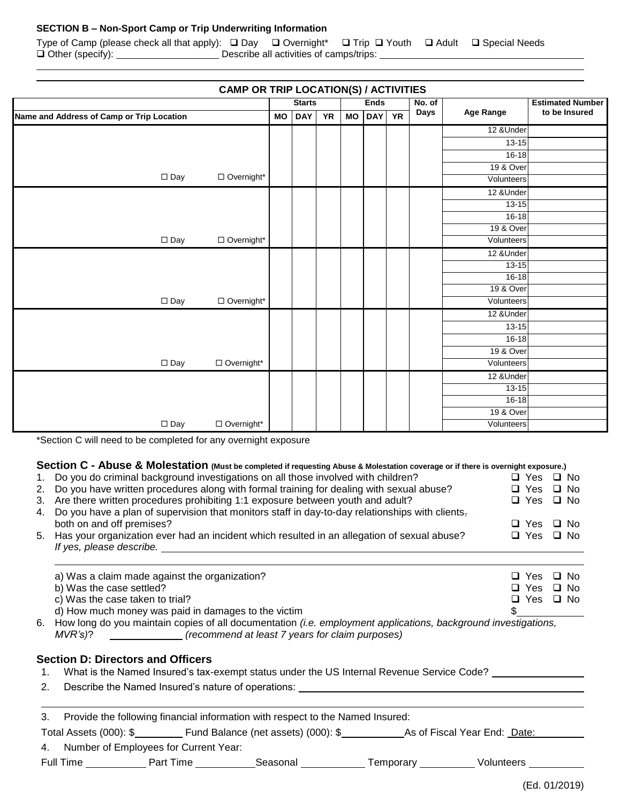#### **SECTION B – Non-Sport Camp or Trip Underwriting Information**

Type of Camp (please check all that apply):  $\Box$  Day  $\Box$  Overnight\*  $\Box$  Trip  $\Box$  Youth  $\Box$  Adult  $\Box$  Special Needs Other (specify): Describe all activities of camps/trips:

| <b>CAMP OR TRIP LOCATION(S) / ACTIVITIES</b> |               |  |           |                                      |  |      |                  |                      |                         |
|----------------------------------------------|---------------|--|-----------|--------------------------------------|--|------|------------------|----------------------|-------------------------|
|                                              | <b>Starts</b> |  |           | <b>Ends</b>                          |  |      | No. of           |                      | <b>Estimated Number</b> |
| Name and Address of Camp or Trip Location    |               |  | <b>YR</b> | <b>YR</b><br><b>MO</b><br><b>DAY</b> |  | Days | <b>Age Range</b> | to be Insured        |                         |
|                                              |               |  |           |                                      |  |      |                  | 12 & Under           |                         |
|                                              |               |  |           |                                      |  |      |                  | $13 - 15$            |                         |
|                                              |               |  |           |                                      |  |      |                  | 16-18                |                         |
|                                              |               |  |           |                                      |  |      |                  | 19 & Over            |                         |
| $\square$ Day<br>□ Overnight*                |               |  |           |                                      |  |      |                  | Volunteers           |                         |
|                                              |               |  |           |                                      |  |      |                  | 12 & Under           |                         |
|                                              |               |  |           |                                      |  |      |                  | $13 - 15$            |                         |
|                                              |               |  |           |                                      |  |      |                  | $16 - 18$            |                         |
|                                              |               |  |           |                                      |  |      |                  | 19 & Over            |                         |
| $\square$ Day<br>□ Overnight*                |               |  |           |                                      |  |      |                  | Volunteers           |                         |
|                                              |               |  |           |                                      |  |      |                  | 12 & Under           |                         |
|                                              |               |  |           |                                      |  |      |                  | $13 - 15$            |                         |
|                                              |               |  |           |                                      |  |      |                  | $16 - 18$            |                         |
|                                              |               |  |           |                                      |  |      |                  | <b>19 &amp; Over</b> |                         |
| $\square$ Day<br>□ Overnight*                |               |  |           |                                      |  |      |                  | Volunteers           |                         |
|                                              |               |  |           |                                      |  |      |                  | 12 & Under           |                         |
|                                              |               |  |           |                                      |  |      |                  | $13 - 15$            |                         |
|                                              |               |  |           |                                      |  |      |                  | $16 - 18$            |                         |
|                                              |               |  |           |                                      |  |      |                  | 19 & Over            |                         |
| □ Overnight*<br>$\square$ Day                |               |  |           |                                      |  |      |                  | Volunteers           |                         |
|                                              |               |  |           |                                      |  |      |                  | 12 &Under            |                         |
|                                              |               |  |           |                                      |  |      |                  | $13 - 15$            |                         |
|                                              |               |  |           |                                      |  |      |                  | $16 - 18$            |                         |
|                                              |               |  |           |                                      |  |      |                  | 19 & Over            |                         |
| $\Box$ Overnight*<br>$\square$ Day           |               |  |           |                                      |  |      |                  | Volunteers           |                         |

\*Section C will need to be completed for any overnight exposure

## **Section C - Abuse & Molestation (Must be completed if requesting Abuse & Molestation coverage or if there is overnight exposure.)**

| 1. Do you do criminal background investigations on all those involved with children?               | □ Yes □ No           |  |
|----------------------------------------------------------------------------------------------------|----------------------|--|
| 2. Do you have written procedures along with formal training for dealing with sexual abuse?        | $\Box$ Yes $\Box$ No |  |
| 3. Are there written procedures prohibiting 1:1 exposure between youth and adult?                  | $\Box$ Yes $\Box$ No |  |
| 4. Do you have a plan of supervision that monitors staff in day-to-day relationships with clients- |                      |  |
| both on and off premises?                                                                          | $\Box$ Yes $\Box$ No |  |
| 5. Has your organization ever had an incident which resulted in an allegation of sexual abuse?     | $\Box$ Yes $\Box$ No |  |
| If yes, please describe.                                                                           |                      |  |
|                                                                                                    |                      |  |

| a) Was a claim made against the organization?                                                                            | $\Box$ Yes $\Box$ No |  |
|--------------------------------------------------------------------------------------------------------------------------|----------------------|--|
|                                                                                                                          |                      |  |
| b) Was the case settled?                                                                                                 | $\Box$ Yes $\Box$ No |  |
| c) Was the case taken to trial?                                                                                          | □ Yes □ No           |  |
| d) How much money was paid in damages to the victim                                                                      |                      |  |
| 6. How long do you maintain copies of all documentation <i>(i.e. employment applications, background investigations,</i> |                      |  |

*MVR's)*? *(recommend at least 7 years for claim purposes)*

#### **Section D: Directors and Officers**

- 1. What is the Named Insured's tax-exempt status under the US Internal Revenue Service Code?
- 2. Describe the Named Insured's nature of operations: \_\_\_\_\_\_\_\_\_\_\_\_\_\_\_\_\_\_\_\_\_\_\_\_\_\_\_

| 3. | Provide the following financial information with respect to the Named Insured: |  |  |
|----|--------------------------------------------------------------------------------|--|--|
|    |                                                                                |  |  |

Total Assets (000): \$\_\_\_\_\_\_\_\_\_\_\_ Fund Balance (net assets) (000): \$\_\_\_\_\_\_\_\_\_\_\_\_\_As of Fiscal Year End: Date:

4. Number of Employees for Current Year:

Full Time \_\_\_\_\_\_\_\_\_\_\_\_ Part Time \_\_\_\_\_\_\_\_\_\_\_\_Seasonal \_\_\_\_\_\_\_\_\_\_\_\_ Temporary \_\_\_\_\_\_\_\_\_\_ Volunteers \_\_\_\_\_\_\_\_\_\_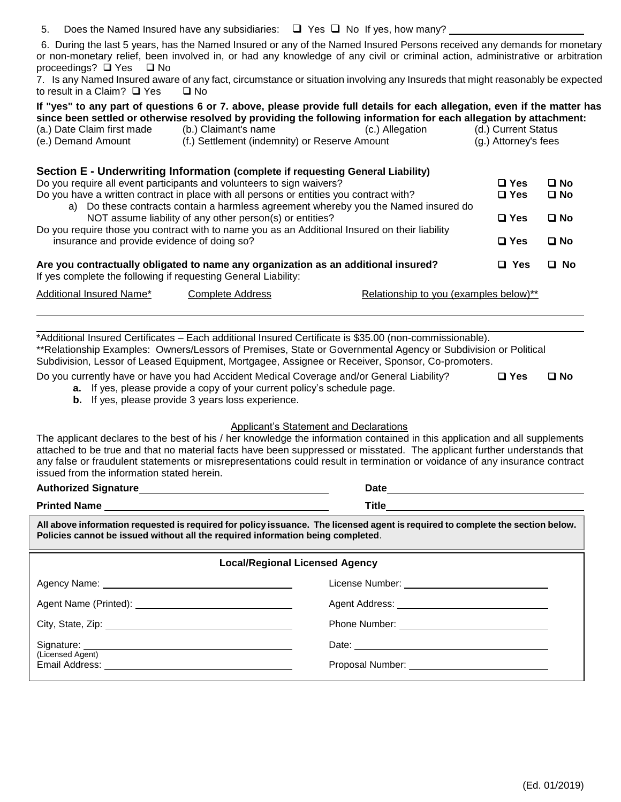5. Does the Named Insured have any subsidiaries:  $\Box$  Yes  $\Box$  No If yes, how many?

6. During the last 5 years, has the Named Insured or any of the Named Insured Persons received any demands for monetary or non-monetary relief, been involved in, or had any knowledge of any civil or criminal action, administrative or arbitration proceedings?  $\Box$  Yes  $\Box$  No

7. Is any Named Insured aware of any fact, circumstance or situation involving any Insureds that might reasonably be expected to result in a Claim?  $\Box$  Yes  $\Box$  No

|                                                                                                                                                      |                                                          | If "yes" to any part of questions 6 or 7. above, please provide full details for each allegation, even if the matter has<br>since been settled or otherwise resolved by providing the following information for each allegation by attachment: |                      |              |  |
|------------------------------------------------------------------------------------------------------------------------------------------------------|----------------------------------------------------------|------------------------------------------------------------------------------------------------------------------------------------------------------------------------------------------------------------------------------------------------|----------------------|--------------|--|
| (a.) Date Claim first made                                                                                                                           | (b.) Claimant's name                                     | (c.) Allegation                                                                                                                                                                                                                                | (d.) Current Status  |              |  |
| (e.) Demand Amount                                                                                                                                   | (f.) Settlement (indemnity) or Reserve Amount            |                                                                                                                                                                                                                                                | (g.) Attorney's fees |              |  |
| Section E - Underwriting Information (complete if requesting General Liability)                                                                      |                                                          |                                                                                                                                                                                                                                                |                      |              |  |
| Do you require all event participants and volunteers to sign waivers?                                                                                |                                                          |                                                                                                                                                                                                                                                | $\square$ Yes        | $\square$ No |  |
| Do you have a written contract in place with all persons or entities you contract with?                                                              |                                                          |                                                                                                                                                                                                                                                | $\square$ Yes        | $\square$ No |  |
|                                                                                                                                                      |                                                          | a) Do these contracts contain a harmless agreement whereby you the Named insured do                                                                                                                                                            |                      |              |  |
|                                                                                                                                                      | NOT assume liability of any other person(s) or entities? |                                                                                                                                                                                                                                                | $\Box$ Yes           | $\square$ No |  |
| Do you require those you contract with to name you as an Additional Insured on their liability                                                       |                                                          |                                                                                                                                                                                                                                                |                      |              |  |
| insurance and provide evidence of doing so?                                                                                                          |                                                          |                                                                                                                                                                                                                                                | $\square$ Yes        | $\square$ No |  |
| Are you contractually obligated to name any organization as an additional insured?<br>If yes complete the following if requesting General Liability: |                                                          |                                                                                                                                                                                                                                                | $\Box$ Yes           | $\square$ No |  |
| Additional Insured Name*                                                                                                                             | <b>Complete Address</b>                                  | Relationship to you (examples below)**                                                                                                                                                                                                         |                      |              |  |

\*Additional Insured Certificates – Each additional Insured Certificate is \$35.00 (non-commissionable). \*\*Relationship Examples: Owners/Lessors of Premises, State or Governmental Agency or Subdivision or Political Subdivision, Lessor of Leased Equipment, Mortgagee, Assignee or Receiver, Sponsor, Co-promoters.

Do you currently have or have you had Accident Medical Coverage and/or General Liability? **Yes No**

- **a.** If yes, please provide a copy of your current policy's schedule page.
- **b.** If yes, please provide 3 years loss experience.

#### Applicant's Statement and Declarations

The applicant declares to the best of his / her knowledge the information contained in this application and all supplements attached to be true and that no material facts have been suppressed or misstated. The applicant further understands that any false or fraudulent statements or misrepresentations could result in termination or voidance of any insurance contract issued from the information stated herein.

| <b>Authorized Signature</b> | Date         |
|-----------------------------|--------------|
| <b>Printed Name</b>         | <b>Title</b> |

**All above information requested is required for policy issuance. The licensed agent is required to complete the section below. Policies cannot be issued without all the required information being completed**.

| <b>Local/Regional Licensed Agency</b> |  |  |  |
|---------------------------------------|--|--|--|
|                                       |  |  |  |
|                                       |  |  |  |
|                                       |  |  |  |
| (Licensed Agent)                      |  |  |  |